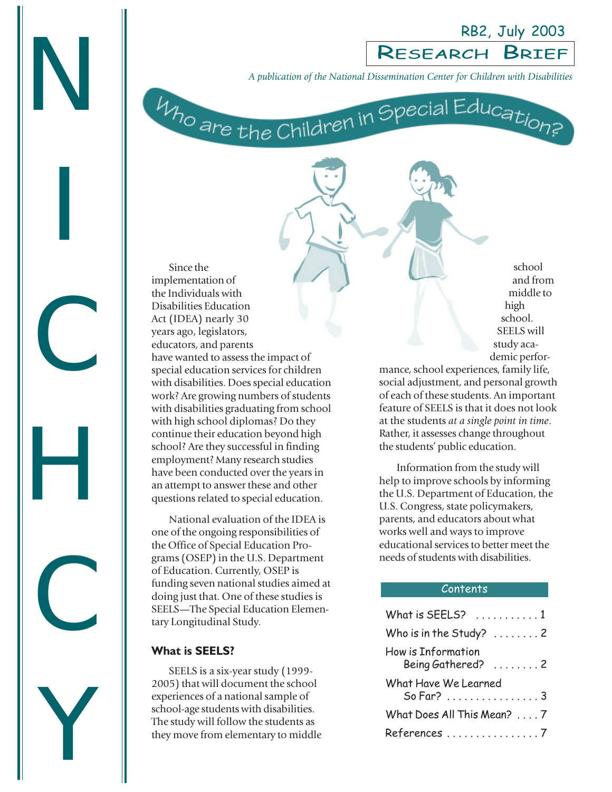RB2, July 2003

A publication of the National Dissemination Center for Children with Disabilitie<br> *M<sub>10</sub>* are the Children in Special Education? *A publication of the National Dissemination Center for Children with Disabilities*

Since the implementation of the Individuals with Disabilities Education Act (IDEA) nearly 30 years ago, legislators, educators, and parents have wanted to assess the impact of special education services for children with disabilities. Does special education work? Are growing numbers of students with disabilities graduating from school with high school diplomas? Do they continue their education beyond high school? Are they successful in finding employment? Many research studies have been conducted over the years in an attempt to answer these and other questions related to special education.

National evaluation of the IDEA is one of the ongoing responsibilities of the Office of Special Education Programs (OSEP) in the U.S. Department of Education. Currently, OSEP is funding seven national studies aimed at doing just that. One of these studies is SEELS—The Special Education Elementary Longitudinal Study.

#### **What is SEELS?**

SEELS is a six-year study (1999- 2005) that will document the school experiences of a national sample of school-age students with disabilities. The study will follow the students as they move from elementary to middle

school and from middle to high school. SEELS will study academic perfor-

mance, school experiences, family life, social adjustment, and personal growth of each of these students. An important feature of SEELS is that it does not look at the students *at a single point in time*. Rather, it assesses change throughout the students' public education.

Information from the study will help to improve schools by informing the U.S. Department of Education, the U.S. Congress, state policymakers, parents, and educators about what works well and ways to improve educational services to better meet the needs of students with disabilities.

#### Contents

| What is SEELS? $\ldots \ldots \ldots 1$                   |
|-----------------------------------------------------------|
| Who is in the Study? $\ldots \ldots 2$                    |
| How is Information<br>Being Gathered? $\ldots \ldots$ . 2 |
| What Have We Learned<br>So Far? 3                         |
| What Does All This Mean? 7                                |
| References 7                                              |

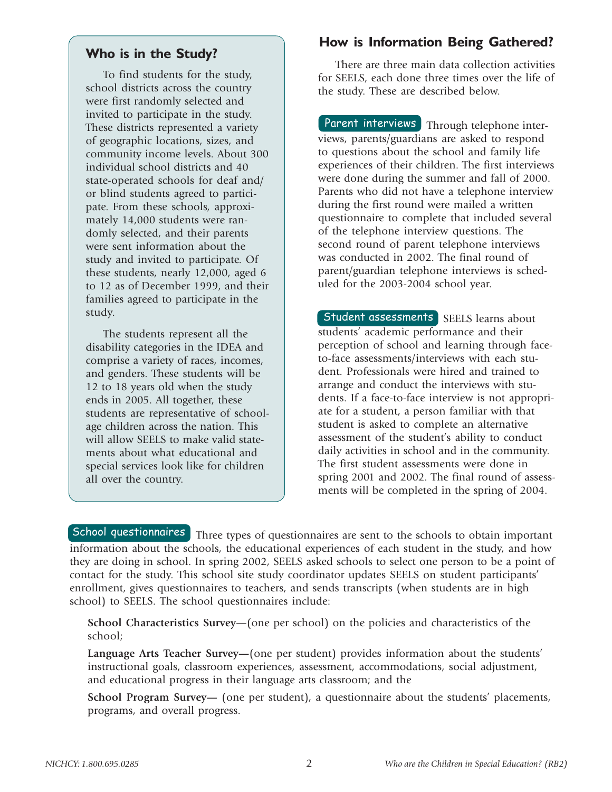## **Who is in the Study?**

To find students for the study, school districts across the country were first randomly selected and invited to participate in the study. These districts represented a variety of geographic locations, sizes, and community income levels. About 300 individual school districts and 40 state-operated schools for deaf and/ or blind students agreed to participate. From these schools, approximately 14,000 students were randomly selected, and their parents were sent information about the study and invited to participate. Of these students, nearly 12,000, aged 6 to 12 as of December 1999, and their families agreed to participate in the study.

The students represent all the disability categories in the IDEA and comprise a variety of races, incomes, and genders. These students will be 12 to 18 years old when the study ends in 2005. All together, these students are representative of schoolage children across the nation. This will allow SEELS to make valid statements about what educational and special services look like for children all over the country.

## **How is Information Being Gathered?**

There are three main data collection activities for SEELS, each done three times over the life of the study. These are described below.

Parent interviews Through telephone interviews, parents/guardians are asked to respond to questions about the school and family life experiences of their children. The first interviews were done during the summer and fall of 2000. Parents who did not have a telephone interview during the first round were mailed a written questionnaire to complete that included several of the telephone interview questions. The second round of parent telephone interviews was conducted in 2002. The final round of parent/guardian telephone interviews is scheduled for the 2003-2004 school year.

Student assessments | SEELS learns about students' academic performance and their perception of school and learning through faceto-face assessments/interviews with each student. Professionals were hired and trained to arrange and conduct the interviews with students. If a face-to-face interview is not appropriate for a student, a person familiar with that student is asked to complete an alternative assessment of the student's ability to conduct daily activities in school and in the community. The first student assessments were done in spring 2001 and 2002. The final round of assessments will be completed in the spring of 2004.

School questionnaires Three types of questionnaires are sent to the schools to obtain important information about the schools, the educational experiences of each student in the study, and how they are doing in school. In spring 2002, SEELS asked schools to select one person to be a point of contact for the study. This school site study coordinator updates SEELS on student participants' enrollment, gives questionnaires to teachers, and sends transcripts (when students are in high school) to SEELS. The school questionnaires include:

**School Characteristics Survey—**(one per school) on the policies and characteristics of the school;

**Language Arts Teacher Survey—**(one per student) provides information about the students' instructional goals, classroom experiences, assessment, accommodations, social adjustment, and educational progress in their language arts classroom; and the

**School Program Survey—** (one per student), a questionnaire about the students' placements, programs, and overall progress.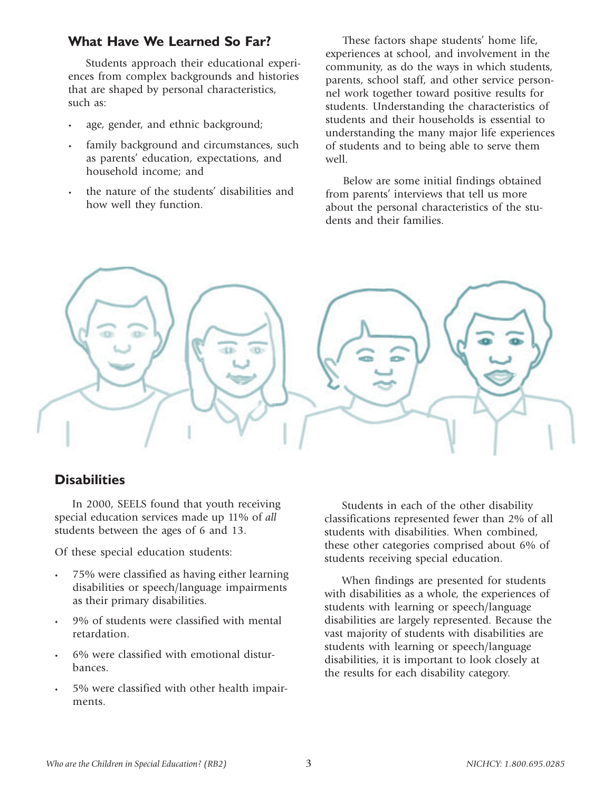## **What Have We Learned So Far?**

Students approach their educational experiences from complex backgrounds and histories that are shaped by personal characteristics, such as:

- age, gender, and ethnic background;
- family background and circumstances, such as parents' education, expectations, and household income; and
- the nature of the students' disabilities and how well they function.

These factors shape students' home life, experiences at school, and involvement in the community, as do the ways in which students, parents, school staff, and other service personnel work together toward positive results for students. Understanding the characteristics of students and their households is essential to understanding the many major life experiences of students and to being able to serve them well.

Below are some initial findings obtained from parents' interviews that tell us more about the personal characteristics of the students and their families.



## **Disabilities**

In 2000, SEELS found that youth receiving special education services made up 11% of *all* students between the ages of 6 and 13.

Of these special education students:

- 75% were classified as having either learning disabilities or speech/language impairments as their primary disabilities.
- 9% of students were classified with mental retardation.
- 6% were classified with emotional disturbances.
- 5% were classified with other health impairments.

Students in each of the other disability classifications represented fewer than 2% of all students with disabilities. When combined, these other categories comprised about 6% of students receiving special education.

When findings are presented for students with disabilities as a whole, the experiences of students with learning or speech/language disabilities are largely represented. Because the vast majority of students with disabilities are students with learning or speech/language disabilities, it is important to look closely at the results for each disability category.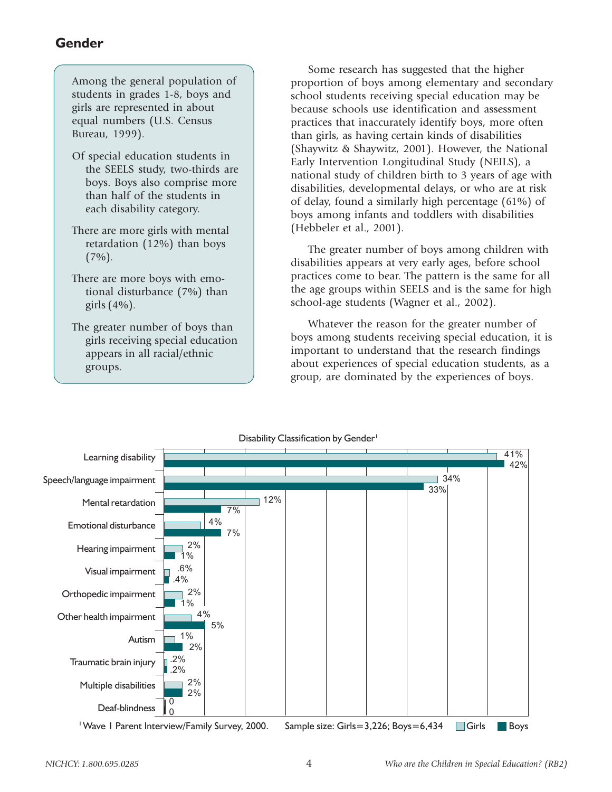## **Gender**

| Among the general population of  |  |
|----------------------------------|--|
| students in grades 1-8, boys and |  |
| girls are represented in about   |  |
| equal numbers (U.S. Census       |  |
| Bureau, 1999).                   |  |

- Of special education students in the SEELS study, two-thirds are boys. Boys also comprise more than half of the students in each disability category.
- There are more girls with mental retardation (12%) than boys  $(7\%)$ .
- There are more boys with emotional disturbance (7%) than girls  $(4\%)$ .

The greater number of boys than girls receiving special education appears in all racial/ethnic groups.

Some research has suggested that the higher proportion of boys among elementary and secondary school students receiving special education may be because schools use identification and assessment practices that inaccurately identify boys, more often than girls, as having certain kinds of disabilities (Shaywitz & Shaywitz, 2001). However, the National Early Intervention Longitudinal Study (NEILS), a national study of children birth to 3 years of age with disabilities, developmental delays, or who are at risk of delay, found a similarly high percentage (61%) of boys among infants and toddlers with disabilities (Hebbeler et al., 2001).

The greater number of boys among children with disabilities appears at very early ages, before school practices come to bear. The pattern is the same for all the age groups within SEELS and is the same for high school-age students (Wagner et al., 2002).

Whatever the reason for the greater number of boys among students receiving special education, it is important to understand that the research findings about experiences of special education students, as a group, are dominated by the experiences of boys.

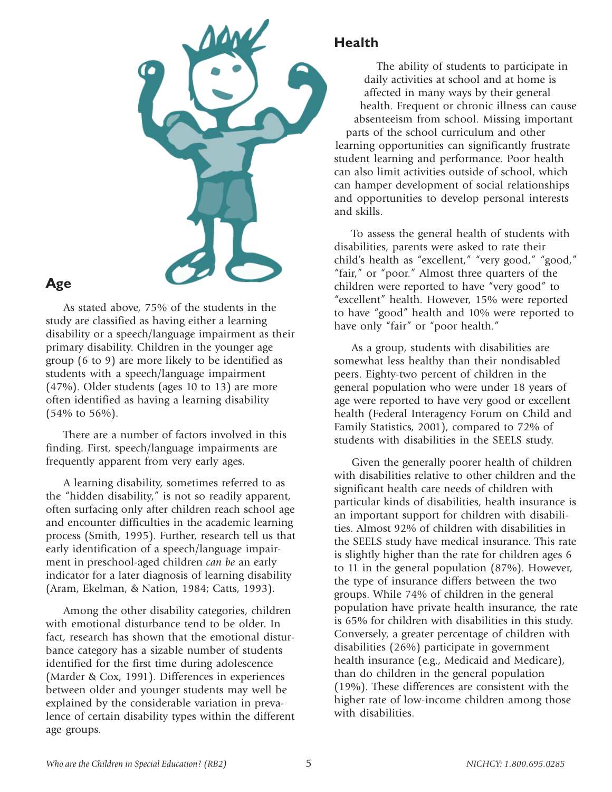

## **Age**

As stated above, 75% of the students in the study are classified as having either a learning disability or a speech/language impairment as their primary disability. Children in the younger age group (6 to 9) are more likely to be identified as students with a speech/language impairment (47%). Older students (ages 10 to 13) are more often identified as having a learning disability (54% to 56%).

There are a number of factors involved in this finding. First, speech/language impairments are frequently apparent from very early ages.

A learning disability, sometimes referred to as the "hidden disability," is not so readily apparent, often surfacing only after children reach school age and encounter difficulties in the academic learning process (Smith, 1995). Further, research tell us that early identification of a speech/language impairment in preschool-aged children *can be* an early indicator for a later diagnosis of learning disability (Aram, Ekelman, & Nation, 1984; Catts, 1993).

Among the other disability categories, children with emotional disturbance tend to be older. In fact, research has shown that the emotional disturbance category has a sizable number of students identified for the first time during adolescence (Marder & Cox, 1991). Differences in experiences between older and younger students may well be explained by the considerable variation in prevalence of certain disability types within the different age groups.

## **Health**

The ability of students to participate in daily activities at school and at home is affected in many ways by their general health. Frequent or chronic illness can cause absenteeism from school. Missing important parts of the school curriculum and other learning opportunities can significantly frustrate student learning and performance. Poor health can also limit activities outside of school, which can hamper development of social relationships and opportunities to develop personal interests and skills.

To assess the general health of students with disabilities, parents were asked to rate their child's health as "excellent," "very good," "good," "fair," or "poor." Almost three quarters of the children were reported to have "very good" to "excellent" health. However, 15% were reported to have "good" health and 10% were reported to have only "fair" or "poor health."

As a group, students with disabilities are somewhat less healthy than their nondisabled peers. Eighty-two percent of children in the general population who were under 18 years of age were reported to have very good or excellent health (Federal Interagency Forum on Child and Family Statistics, 2001), compared to 72% of students with disabilities in the SEELS study.

Given the generally poorer health of children with disabilities relative to other children and the significant health care needs of children with particular kinds of disabilities, health insurance is an important support for children with disabilities. Almost 92% of children with disabilities in the SEELS study have medical insurance. This rate is slightly higher than the rate for children ages 6 to 11 in the general population (87%). However, the type of insurance differs between the two groups. While 74% of children in the general population have private health insurance, the rate is 65% for children with disabilities in this study. Conversely, a greater percentage of children with disabilities (26%) participate in government health insurance (e.g., Medicaid and Medicare), than do children in the general population (19%). These differences are consistent with the higher rate of low-income children among those with disabilities.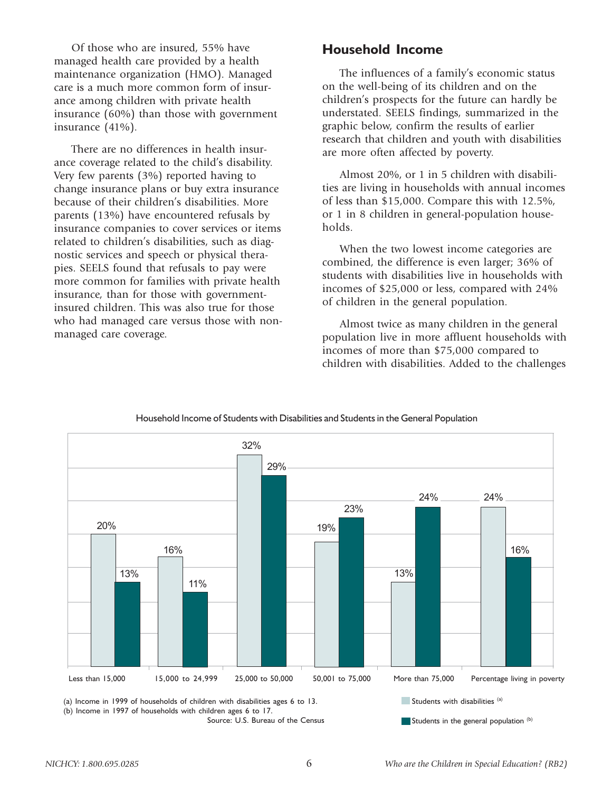Of those who are insured, 55% have managed health care provided by a health maintenance organization (HMO). Managed care is a much more common form of insurance among children with private health insurance (60%) than those with government insurance (41%).

There are no differences in health insurance coverage related to the child's disability. Very few parents (3%) reported having to change insurance plans or buy extra insurance because of their children's disabilities. More parents (13%) have encountered refusals by insurance companies to cover services or items related to children's disabilities, such as diagnostic services and speech or physical therapies. SEELS found that refusals to pay were more common for families with private health insurance, than for those with governmentinsured children. This was also true for those who had managed care versus those with nonmanaged care coverage.

## **Household Income**

The influences of a family's economic status on the well-being of its children and on the children's prospects for the future can hardly be understated. SEELS findings, summarized in the graphic below, confirm the results of earlier research that children and youth with disabilities are more often affected by poverty.

Almost 20%, or 1 in 5 children with disabilities are living in households with annual incomes of less than \$15,000. Compare this with 12.5%, or 1 in 8 children in general-population households.

When the two lowest income categories are combined, the difference is even larger; 36% of students with disabilities live in households with incomes of \$25,000 or less, compared with 24% of children in the general population.

Almost twice as many children in the general population live in more affluent households with incomes of more than \$75,000 compared to children with disabilities. Added to the challenges



### Household Income of Students with Disabilities and Students in the General Population Household Income of Students with Disabilities and Students in the General Population

(a) Income in 1999 of households of children with disabilities ages 6 to 13. (b) Income in 1997 of households with children ages 6 to 17.

Source: U.S. Bureau of the Census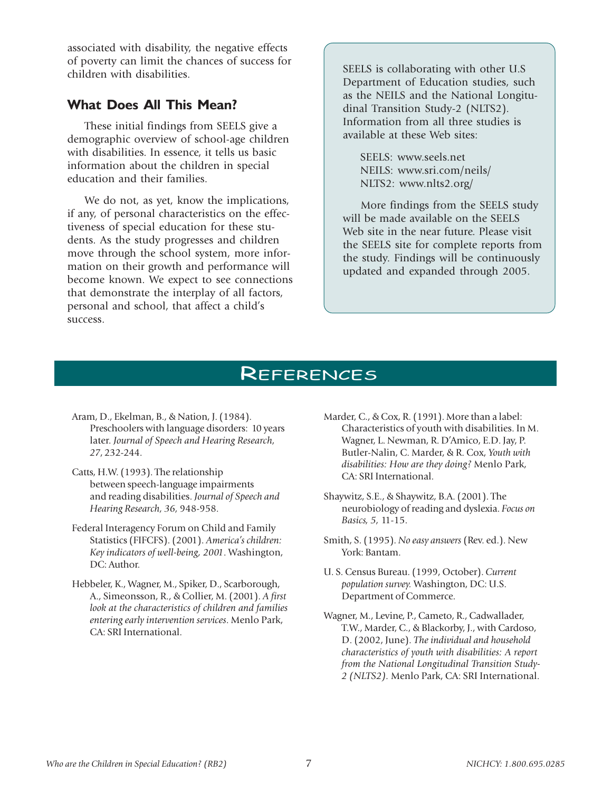associated with disability, the negative effects of poverty can limit the chances of success for children with disabilities.

### **What Does All This Mean?**

These initial findings from SEELS give a demographic overview of school-age children with disabilities. In essence, it tells us basic information about the children in special education and their families.

We do not, as yet, know the implications, if any, of personal characteristics on the effectiveness of special education for these students. As the study progresses and children move through the school system, more information on their growth and performance will become known. We expect to see connections that demonstrate the interplay of all factors, personal and school, that affect a child's success.

SEELS is collaborating with other U.S Department of Education studies, such as the NEILS and the National Longitudinal Transition Study-2 (NLTS2). Information from all three studies is available at these Web sites:

SEELS: www.seels.net NEILS: www.sri.com/neils/ NLTS2: www.nlts2.org/

More findings from the SEELS study will be made available on the SEELS Web site in the near future. Please visit the SEELS site for complete reports from the study. Findings will be continuously updated and expanded through 2005.

# **REFERENCES**

- Aram, D., Ekelman, B., & Nation, J. (1984). Preschoolers with language disorders: 10 years later. *Journal of Speech and Hearing Research, 27*, 232-244.
- Catts, H.W. (1993). The relationship between speech-language impairments and reading disabilities. *Journal of Speech and Hearing Research, 36,* 948-958.
- Federal Interagency Forum on Child and Family Statistics (FIFCFS). (2001). *America's children: Key indicators of well-being, 2001*. Washington, DC: Author.
- Hebbeler, K., Wagner, M., Spiker, D., Scarborough, A., Simeonsson, R., & Collier, M. (2001). *A first look at the characteristics of children and families entering early intervention services*. Menlo Park, CA: SRI International.
- Marder, C., & Cox, R. (1991). More than a label: Characteristics of youth with disabilities. In M. Wagner, L. Newman, R. D'Amico, E.D. Jay, P. Butler-Nalin, C. Marder, & R. Cox, *Youth with disabilities: How are they doing?* Menlo Park, CA: SRI International.
- Shaywitz, S.E., & Shaywitz, B.A. (2001). The neurobiology of reading and dyslexia. *Focus on Basics, 5,* 11-15.
- Smith, S. (1995). *No easy answers* (Rev. ed.). New York: Bantam.
- U. S. Census Bureau. (1999, October). *Current population survey.* Washington, DC: U.S. Department of Commerce.
- Wagner, M., Levine, P., Cameto, R., Cadwallader, T.W., Marder, C., & Blackorby, J., with Cardoso, D. (2002, June). *The individual and household characteristics of youth with disabilities: A report from the National Longitudinal Transition Study-2 (NLTS2).* Menlo Park, CA: SRI International.